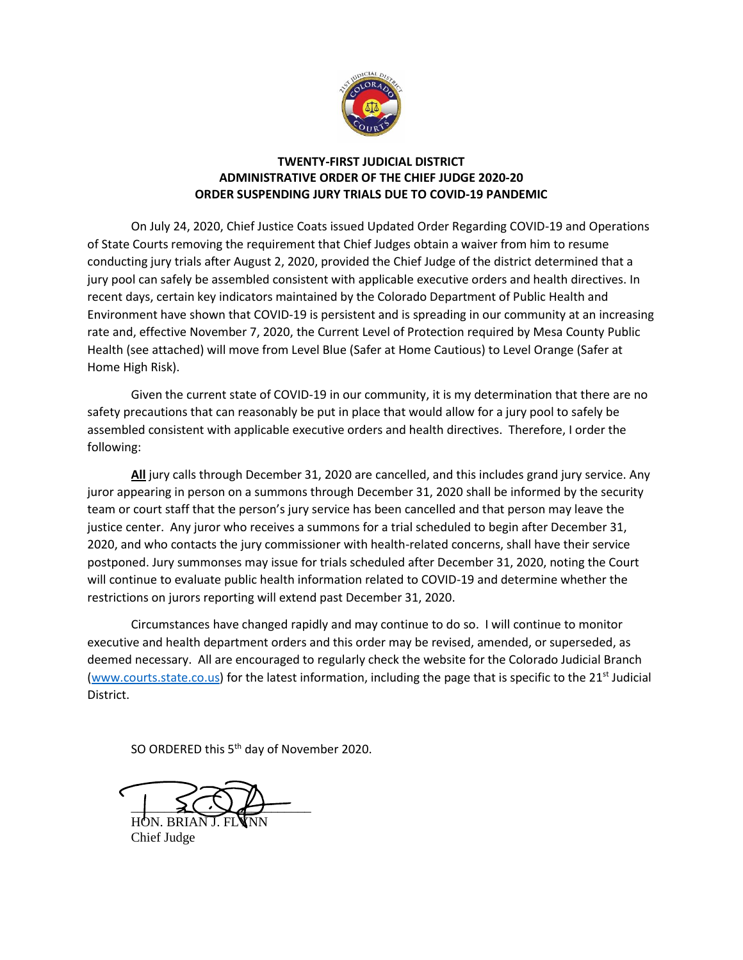

## **TWENTY-FIRST JUDICIAL DISTRICT ADMINISTRATIVE ORDER OF THE CHIEF JUDGE 2020-20 ORDER SUSPENDING JURY TRIALS DUE TO COVID-19 PANDEMIC**

On July 24, 2020, Chief Justice Coats issued Updated Order Regarding COVID-19 and Operations of State Courts removing the requirement that Chief Judges obtain a waiver from him to resume conducting jury trials after August 2, 2020, provided the Chief Judge of the district determined that a jury pool can safely be assembled consistent with applicable executive orders and health directives. In recent days, certain key indicators maintained by the Colorado Department of Public Health and Environment have shown that COVID-19 is persistent and is spreading in our community at an increasing rate and, effective November 7, 2020, the Current Level of Protection required by Mesa County Public Health (see attached) will move from Level Blue (Safer at Home Cautious) to Level Orange (Safer at Home High Risk).

Given the current state of COVID-19 in our community, it is my determination that there are no safety precautions that can reasonably be put in place that would allow for a jury pool to safely be assembled consistent with applicable executive orders and health directives. Therefore, I order the following:

**All** jury calls through December 31, 2020 are cancelled, and this includes grand jury service. Any juror appearing in person on a summons through December 31, 2020 shall be informed by the security team or court staff that the person's jury service has been cancelled and that person may leave the justice center. Any juror who receives a summons for a trial scheduled to begin after December 31, 2020, and who contacts the jury commissioner with health-related concerns, shall have their service postponed. Jury summonses may issue for trials scheduled after December 31, 2020, noting the Court will continue to evaluate public health information related to COVID-19 and determine whether the restrictions on jurors reporting will extend past December 31, 2020.

Circumstances have changed rapidly and may continue to do so. I will continue to monitor executive and health department orders and this order may be revised, amended, or superseded, as deemed necessary. All are encouraged to regularly check the website for the Colorado Judicial Branch [\(www.courts.state.co.us\)](http://www.courts.state.co.us/) for the latest information, including the page that is specific to the  $21^{st}$  Judicial District.

SO ORDERED this 5<sup>th</sup> day of November 2020.

 $\frac{1}{2}$ 

HON. BRIAI Chief Judge